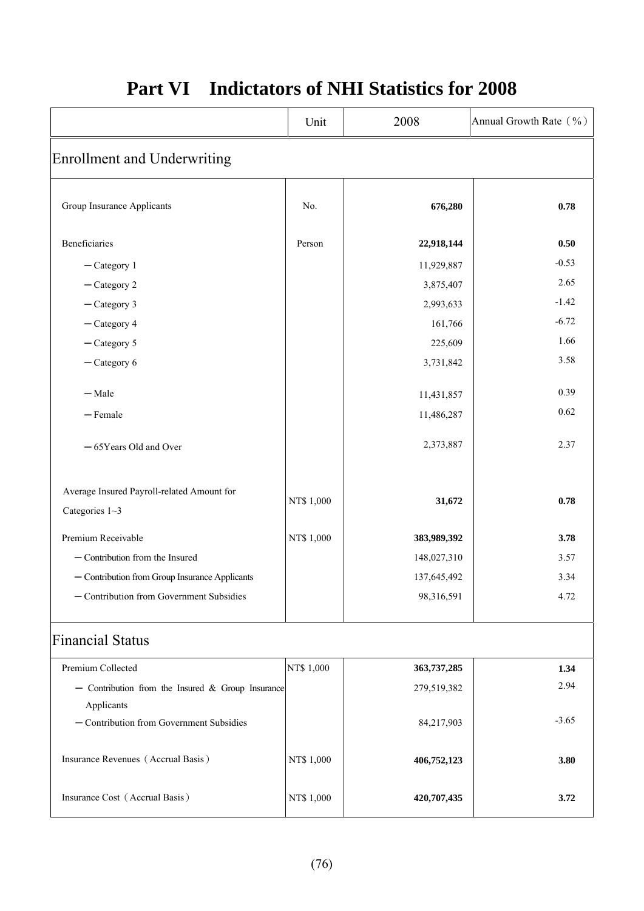|                                                                  | Unit       | 2008        | Annual Growth Rate (%) |
|------------------------------------------------------------------|------------|-------------|------------------------|
| <b>Enrollment and Underwriting</b>                               |            |             |                        |
| Group Insurance Applicants                                       | No.        | 676,280     | 0.78                   |
| Beneficiaries                                                    | Person     | 22,918,144  | 0.50                   |
| $-$ Category 1                                                   |            | 11,929,887  | $-0.53$                |
| $-$ Category 2                                                   |            | 3,875,407   | 2.65                   |
| $-$ Category 3                                                   |            | 2,993,633   | $-1.42$                |
| $-$ Category 4                                                   |            | 161,766     | $-6.72$                |
| $-$ Category 5                                                   |            | 225,609     | 1.66                   |
| $-$ Category 6                                                   |            | 3,731,842   | 3.58                   |
| $-Male$                                                          |            | 11,431,857  | 0.39                   |
| $-$ Female                                                       |            | 11,486,287  | 0.62                   |
| -65Years Old and Over                                            |            | 2,373,887   | 2.37                   |
| Average Insured Payroll-related Amount for<br>Categories $1 - 3$ | NT\$ 1,000 | 31,672      | 0.78                   |
| Premium Receivable                                               | NT\$ 1,000 | 383,989,392 | 3.78                   |
| - Contribution from the Insured                                  |            | 148,027,310 | 3.57                   |
| - Contribution from Group Insurance Applicants                   |            | 137,645,492 | 3.34                   |
| - Contribution from Government Subsidies                         |            | 98,316,591  | 4.72                   |
| <b>Financial Status</b>                                          |            |             |                        |
| Premium Collected                                                | NT\$ 1,000 | 363,737,285 | 1.34                   |
| - Contribution from the Insured & Group Insurance<br>Applicants  |            | 279,519,382 | 2.94                   |
| - Contribution from Government Subsidies                         |            | 84,217,903  | $-3.65$                |

## **Part VI Indictators of NHI Statistics for 2008**

Insurance Revenues (Accrual Basis) **NT\$** 1,000 **406,752,123** 3.80

Insurance Cost (Accrual Basis) **NT\$ 1,000 420,707,435** 3.72